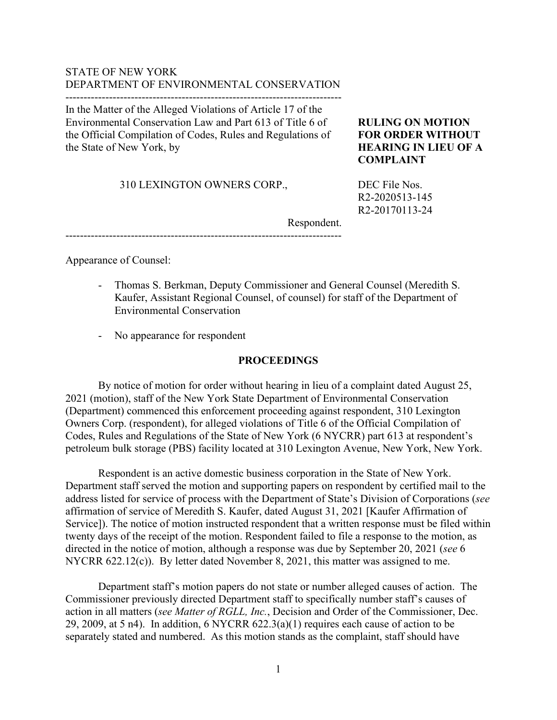## STATE OF NEW YORK DEPARTMENT OF ENVIRONMENTAL CONSERVATION

----------------------------------------------------------------------------

In the Matter of the Alleged Violations of Article 17 of the Environmental Conservation Law and Part 613 of Title 6 of the Official Compilation of Codes, Rules and Regulations of the State of New York, by

310 LEXINGTON OWNERS CORP.,

# **RULING ON MOTION FOR ORDER WITHOUT HEARING IN LIEU OF A COMPLAINT**

DEC File Nos. R2-2020513-145 R2-20170113-24

Respondent. ----------------------------------------------------------------------------

Appearance of Counsel:

- Thomas S. Berkman, Deputy Commissioner and General Counsel (Meredith S. Kaufer, Assistant Regional Counsel, of counsel) for staff of the Department of Environmental Conservation
- No appearance for respondent

### **PROCEEDINGS**

By notice of motion for order without hearing in lieu of a complaint dated August 25, 2021 (motion), staff of the New York State Department of Environmental Conservation (Department) commenced this enforcement proceeding against respondent, 310 Lexington Owners Corp. (respondent), for alleged violations of Title 6 of the Official Compilation of Codes, Rules and Regulations of the State of New York (6 NYCRR) part 613 at respondent's petroleum bulk storage (PBS) facility located at 310 Lexington Avenue, New York, New York.

Respondent is an active domestic business corporation in the State of New York. Department staff served the motion and supporting papers on respondent by certified mail to the address listed for service of process with the Department of State's Division of Corporations (*see* affirmation of service of Meredith S. Kaufer, dated August 31, 2021 [Kaufer Affirmation of Service]). The notice of motion instructed respondent that a written response must be filed within twenty days of the receipt of the motion. Respondent failed to file a response to the motion, as directed in the notice of motion, although a response was due by September 20, 2021 (*see* 6 NYCRR 622.12(c)). By letter dated November 8, 2021, this matter was assigned to me.

Department staff's motion papers do not state or number alleged causes of action. The Commissioner previously directed Department staff to specifically number staff's causes of action in all matters (*see Matter of RGLL, Inc.*, Decision and Order of the Commissioner, Dec. 29, 2009, at 5 n4). In addition,  $6$  NYCRR  $622.3(a)(1)$  requires each cause of action to be separately stated and numbered. As this motion stands as the complaint, staff should have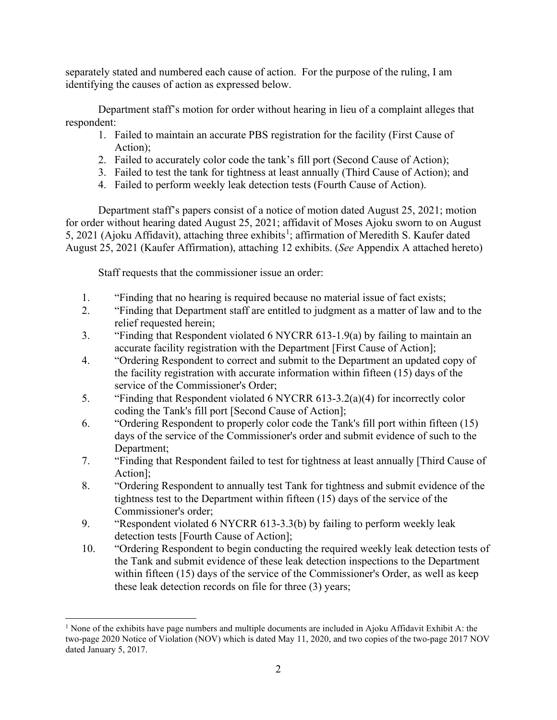separately stated and numbered each cause of action. For the purpose of the ruling, I am identifying the causes of action as expressed below.

Department staff's motion for order without hearing in lieu of a complaint alleges that respondent:

- 1. Failed to maintain an accurate PBS registration for the facility (First Cause of Action);
- 2. Failed to accurately color code the tank's fill port (Second Cause of Action);
- 3. Failed to test the tank for tightness at least annually (Third Cause of Action); and
- 4. Failed to perform weekly leak detection tests (Fourth Cause of Action).

Department staff's papers consist of a notice of motion dated August 25, 2021; motion for order without hearing dated August 25, 2021; affidavit of Moses Ajoku sworn to on August 5, 202[1](#page-1-0) (Ajoku Affidavit), attaching three exhibits<sup>1</sup>; affirmation of Meredith S. Kaufer dated August 25, 2021 (Kaufer Affirmation), attaching 12 exhibits. (*See* Appendix A attached hereto)

Staff requests that the commissioner issue an order:

- 1. "Finding that no hearing is required because no material issue of fact exists;
- 2. "Finding that Department staff are entitled to judgment as a matter of law and to the relief requested herein;
- 3. "Finding that Respondent violated 6 NYCRR 613-1.9(a) by failing to maintain an accurate facility registration with the Department [First Cause of Action];
- 4. "Ordering Respondent to correct and submit to the Department an updated copy of the facility registration with accurate information within fifteen (15) days of the service of the Commissioner's Order;
- 5. "Finding that Respondent violated 6 NYCRR 613-3.2(a)(4) for incorrectly color coding the Tank's fill port [Second Cause of Action];
- 6. "Ordering Respondent to properly color code the Tank's fill port within fifteen (15) days of the service of the Commissioner's order and submit evidence of such to the Department;
- 7. "Finding that Respondent failed to test for tightness at least annually [Third Cause of Action];
- 8. "Ordering Respondent to annually test Tank for tightness and submit evidence of the tightness test to the Department within fifteen (15) days of the service of the Commissioner's order;
- 9. "Respondent violated 6 NYCRR 613-3.3(b) by failing to perform weekly leak detection tests [Fourth Cause of Action];
- 10. "Ordering Respondent to begin conducting the required weekly leak detection tests of the Tank and submit evidence of these leak detection inspections to the Department within fifteen (15) days of the service of the Commissioner's Order, as well as keep these leak detection records on file for three (3) years;

<span id="page-1-0"></span><sup>&</sup>lt;sup>1</sup> None of the exhibits have page numbers and multiple documents are included in Ajoku Affidavit Exhibit A: the two-page 2020 Notice of Violation (NOV) which is dated May 11, 2020, and two copies of the two-page 2017 NOV dated January 5, 2017.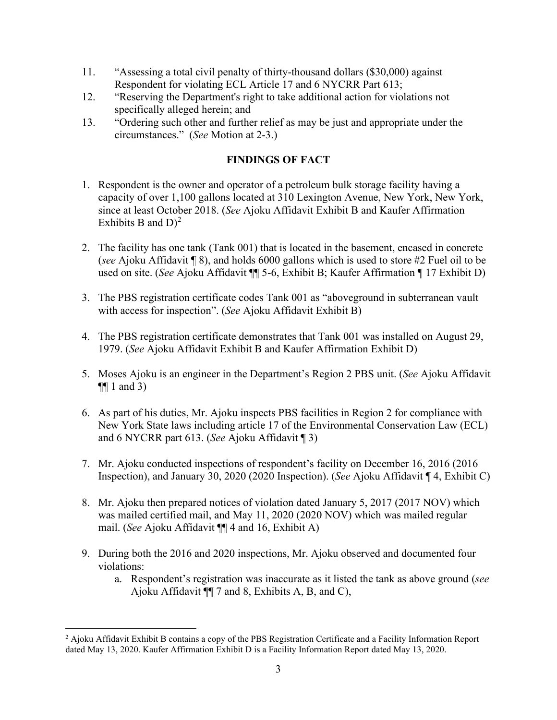- 11. "Assessing a total civil penalty of thirty-thousand dollars (\$30,000) against Respondent for violating ECL Article 17 and 6 NYCRR Part 613;
- 12. "Reserving the Department's right to take additional action for violations not specifically alleged herein; and
- 13. "Ordering such other and further relief as may be just and appropriate under the circumstances." (*See* Motion at 2-3.)

# **FINDINGS OF FACT**

- 1. Respondent is the owner and operator of a petroleum bulk storage facility having a capacity of over 1,100 gallons located at 310 Lexington Avenue, New York, New York, since at least October 2018. (*See* Ajoku Affidavit Exhibit B and Kaufer Affirmation Exhibits B and  $D^2$  $D^2$
- 2. The facility has one tank (Tank 001) that is located in the basement, encased in concrete (*see* Ajoku Affidavit ¶ 8), and holds 6000 gallons which is used to store #2 Fuel oil to be used on site. (*See* Ajoku Affidavit ¶¶ 5-6, Exhibit B; Kaufer Affirmation ¶ 17 Exhibit D)
- 3. The PBS registration certificate codes Tank 001 as "aboveground in subterranean vault with access for inspection". (*See* Ajoku Affidavit Exhibit B)
- 4. The PBS registration certificate demonstrates that Tank 001 was installed on August 29, 1979. (*See* Ajoku Affidavit Exhibit B and Kaufer Affirmation Exhibit D)
- 5. Moses Ajoku is an engineer in the Department's Region 2 PBS unit. (*See* Ajoku Affidavit  $\P\P$  1 and 3)
- 6. As part of his duties, Mr. Ajoku inspects PBS facilities in Region 2 for compliance with New York State laws including article 17 of the Environmental Conservation Law (ECL) and 6 NYCRR part 613. (*See* Ajoku Affidavit ¶ 3)
- 7. Mr. Ajoku conducted inspections of respondent's facility on December 16, 2016 (2016 Inspection), and January 30, 2020 (2020 Inspection). (*See* Ajoku Affidavit ¶ 4, Exhibit C)
- 8. Mr. Ajoku then prepared notices of violation dated January 5, 2017 (2017 NOV) which was mailed certified mail, and May 11, 2020 (2020 NOV) which was mailed regular mail. (*See* Ajoku Affidavit ¶¶ 4 and 16, Exhibit A)
- 9. During both the 2016 and 2020 inspections, Mr. Ajoku observed and documented four violations:
	- a. Respondent's registration was inaccurate as it listed the tank as above ground (*see* Ajoku Affidavit ¶¶ 7 and 8, Exhibits A, B, and C),

<span id="page-2-0"></span><sup>&</sup>lt;sup>2</sup> Ajoku Affidavit Exhibit B contains a copy of the PBS Registration Certificate and a Facility Information Report dated May 13, 2020. Kaufer Affirmation Exhibit D is a Facility Information Report dated May 13, 2020.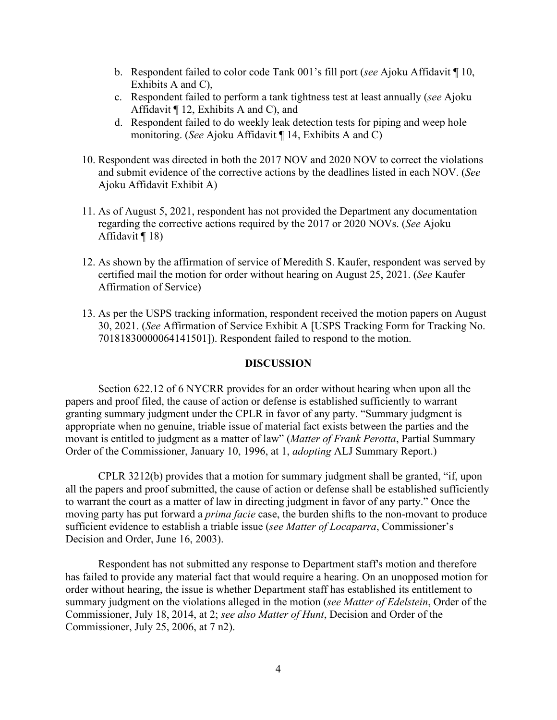- b. Respondent failed to color code Tank 001's fill port (*see* Ajoku Affidavit ¶ 10, Exhibits A and C),
- c. Respondent failed to perform a tank tightness test at least annually (*see* Ajoku Affidavit ¶ 12, Exhibits A and C), and
- d. Respondent failed to do weekly leak detection tests for piping and weep hole monitoring. (*See* Ajoku Affidavit ¶ 14, Exhibits A and C)
- 10. Respondent was directed in both the 2017 NOV and 2020 NOV to correct the violations and submit evidence of the corrective actions by the deadlines listed in each NOV. (*See* Ajoku Affidavit Exhibit A)
- 11. As of August 5, 2021, respondent has not provided the Department any documentation regarding the corrective actions required by the 2017 or 2020 NOVs. (*See* Ajoku Affidavit ¶ 18)
- 12. As shown by the affirmation of service of Meredith S. Kaufer, respondent was served by certified mail the motion for order without hearing on August 25, 2021. (*See* Kaufer Affirmation of Service)
- 13. As per the USPS tracking information, respondent received the motion papers on August 30, 2021. (*See* Affirmation of Service Exhibit A [USPS Tracking Form for Tracking No. 70181830000064141501]). Respondent failed to respond to the motion.

### **DISCUSSION**

Section 622.12 of 6 NYCRR provides for an order without hearing when upon all the papers and proof filed, the cause of action or defense is established sufficiently to warrant granting summary judgment under the CPLR in favor of any party. "Summary judgment is appropriate when no genuine, triable issue of material fact exists between the parties and the movant is entitled to judgment as a matter of law" (*Matter of Frank Perotta*, Partial Summary Order of the Commissioner, January 10, 1996, at 1, *adopting* ALJ Summary Report.)

CPLR 3212(b) provides that a motion for summary judgment shall be granted, "if, upon all the papers and proof submitted, the cause of action or defense shall be established sufficiently to warrant the court as a matter of law in directing judgment in favor of any party." Once the moving party has put forward a *prima facie* case, the burden shifts to the non-movant to produce sufficient evidence to establish a triable issue (*see Matter of Locaparra*, Commissioner's Decision and Order, June 16, 2003).

Respondent has not submitted any response to Department staff's motion and therefore has failed to provide any material fact that would require a hearing. On an unopposed motion for order without hearing, the issue is whether Department staff has established its entitlement to summary judgment on the violations alleged in the motion (*see Matter of Edelstein*, Order of the Commissioner, July 18, 2014, at 2; *see also Matter of Hunt*, Decision and Order of the Commissioner, July 25, 2006, at 7 n2).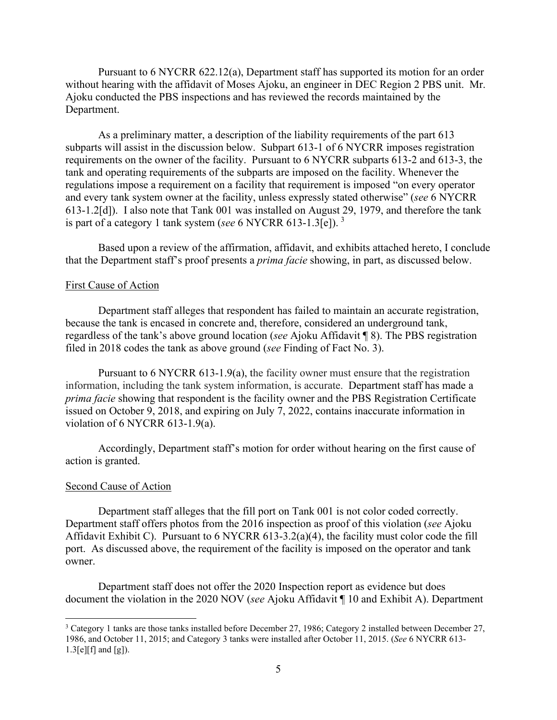Pursuant to 6 NYCRR 622.12(a), Department staff has supported its motion for an order without hearing with the affidavit of Moses Ajoku, an engineer in DEC Region 2 PBS unit. Mr. Ajoku conducted the PBS inspections and has reviewed the records maintained by the Department.

As a preliminary matter, a description of the liability requirements of the part 613 subparts will assist in the discussion below. Subpart 613-1 of 6 NYCRR imposes registration requirements on the owner of the facility. Pursuant to 6 NYCRR subparts 613-2 and 613-3, the tank and operating requirements of the subparts are imposed on the facility. Whenever the regulations impose a requirement on a facility that requirement is imposed "on every operator and every tank system owner at the facility, unless expressly stated otherwise" (*see* 6 NYCRR 613-1.2[d]). I also note that Tank 001 was installed on August 29, 1979, and therefore the tank is part of a category 1 tank system (*see* 6 NYCRR 613-1.3[e]). [3](#page-4-0)

Based upon a review of the affirmation, affidavit, and exhibits attached hereto, I conclude that the Department staff's proof presents a *prima facie* showing, in part, as discussed below.

#### First Cause of Action

Department staff alleges that respondent has failed to maintain an accurate registration, because the tank is encased in concrete and, therefore, considered an underground tank, regardless of the tank's above ground location (*see* Ajoku Affidavit ¶ 8). The PBS registration filed in 2018 codes the tank as above ground (*see* Finding of Fact No. 3).

Pursuant to 6 NYCRR 613-1.9(a), the facility owner must ensure that the registration information, including the tank system information, is accurate. Department staff has made a *prima facie* showing that respondent is the facility owner and the PBS Registration Certificate issued on October 9, 2018, and expiring on July 7, 2022, contains inaccurate information in violation of 6 NYCRR 613-1.9(a).

Accordingly, Department staff's motion for order without hearing on the first cause of action is granted.

#### Second Cause of Action

Department staff alleges that the fill port on Tank 001 is not color coded correctly. Department staff offers photos from the 2016 inspection as proof of this violation (*see* Ajoku Affidavit Exhibit C). Pursuant to 6 NYCRR 613-3.2(a)(4), the facility must color code the fill port. As discussed above, the requirement of the facility is imposed on the operator and tank owner.

Department staff does not offer the 2020 Inspection report as evidence but does document the violation in the 2020 NOV (*see* Ajoku Affidavit ¶ 10 and Exhibit A). Department

<span id="page-4-0"></span><sup>3</sup> Category 1 tanks are those tanks installed before December 27, 1986; Category 2 installed between December 27, 1986, and October 11, 2015; and Category 3 tanks were installed after October 11, 2015. (*See* 6 NYCRR 613- 1.3[e][f] and [g]).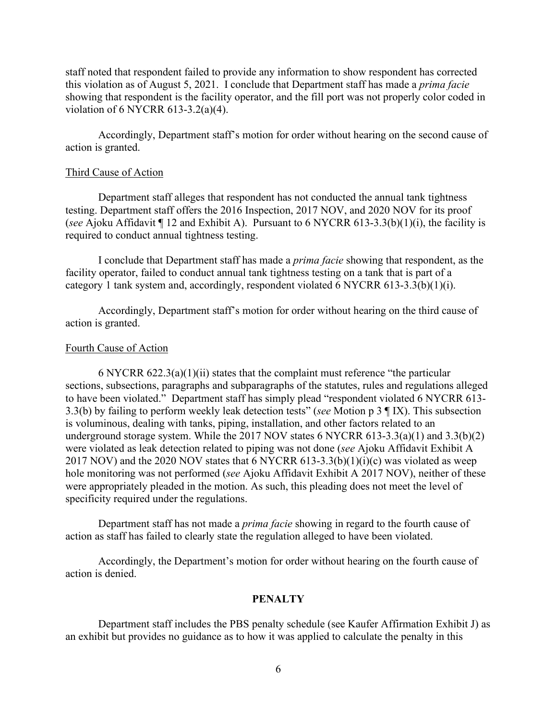staff noted that respondent failed to provide any information to show respondent has corrected this violation as of August 5, 2021. I conclude that Department staff has made a *prima facie* showing that respondent is the facility operator, and the fill port was not properly color coded in violation of 6 NYCRR 613-3.2(a)(4).

Accordingly, Department staff's motion for order without hearing on the second cause of action is granted.

#### Third Cause of Action

Department staff alleges that respondent has not conducted the annual tank tightness testing. Department staff offers the 2016 Inspection, 2017 NOV, and 2020 NOV for its proof (*see* Ajoku Affidavit ¶ 12 and Exhibit A). Pursuant to 6 NYCRR 613-3.3(b)(1)(i), the facility is required to conduct annual tightness testing.

I conclude that Department staff has made a *prima facie* showing that respondent, as the facility operator, failed to conduct annual tank tightness testing on a tank that is part of a category 1 tank system and, accordingly, respondent violated 6 NYCRR 613-3.3(b)(1)(i).

Accordingly, Department staff's motion for order without hearing on the third cause of action is granted.

#### Fourth Cause of Action

6 NYCRR 622.3(a)(1)(ii) states that the complaint must reference "the particular sections, subsections, paragraphs and subparagraphs of the statutes, rules and regulations alleged to have been violated." Department staff has simply plead "respondent violated 6 NYCRR 613- 3.3(b) by failing to perform weekly leak detection tests" (*see* Motion p 3 ¶ IX). This subsection is voluminous, dealing with tanks, piping, installation, and other factors related to an underground storage system. While the 2017 NOV states 6 NYCRR 613-3.3(a)(1) and 3.3(b)(2) were violated as leak detection related to piping was not done (*see* Ajoku Affidavit Exhibit A 2017 NOV) and the 2020 NOV states that  $6$  NYCRR  $613-3.3(b)(1)(i)(c)$  was violated as weep hole monitoring was not performed (*see* Ajoku Affidavit Exhibit A 2017 NOV), neither of these were appropriately pleaded in the motion. As such, this pleading does not meet the level of specificity required under the regulations.

Department staff has not made a *prima facie* showing in regard to the fourth cause of action as staff has failed to clearly state the regulation alleged to have been violated.

Accordingly, the Department's motion for order without hearing on the fourth cause of action is denied.

#### **PENALTY**

Department staff includes the PBS penalty schedule (see Kaufer Affirmation Exhibit J) as an exhibit but provides no guidance as to how it was applied to calculate the penalty in this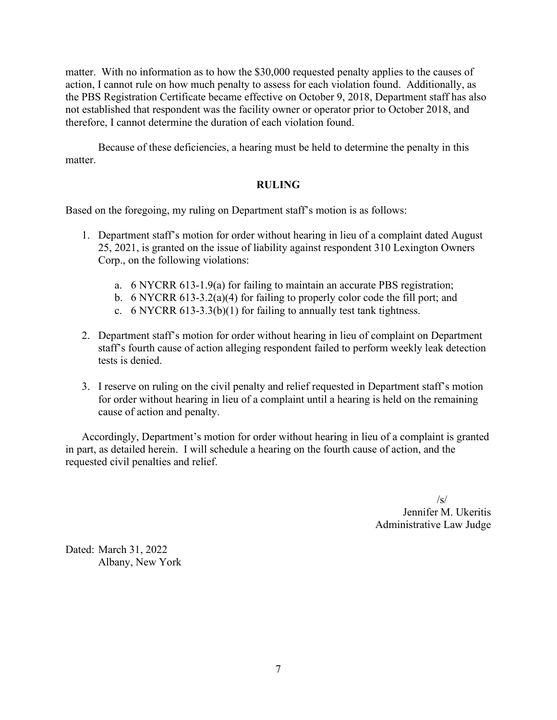matter. With no information as to how the \$30,000 requested penalty applies to the causes of action, I cannot rule on how much penalty to assess for each violation found. Additionally, as the PBS Registration Certificate became effective on October 9, 2018, Department staff has also not established that respondent was the facility owner or operator prior to October 2018, and therefore, I cannot determine the duration of each violation found.

Because of these deficiencies, a hearing must be held to determine the penalty in this matter.

# **RULING**

Based on the foregoing, my ruling on Department staff's motion is as follows:

- 1. Department staff's motion for order without hearing in lieu of a complaint dated August 25, 2021, is granted on the issue of liability against respondent 310 Lexington Owners Corp., on the following violations:
	- a. 6 NYCRR 613-1.9(a) for failing to maintain an accurate PBS registration;
	- b. 6 NYCRR 613-3.2(a)(4) for failing to properly color code the fill port; and
	- c. 6 NYCRR  $613-3.3(b)(1)$  for failing to annually test tank tightness.
- 2. Department staff's motion for order without hearing in lieu of complaint on Department staff's fourth cause of action alleging respondent failed to perform weekly leak detection tests is denied.
- 3. I reserve on ruling on the civil penalty and relief requested in Department staff's motion for order without hearing in lieu of a complaint until a hearing is held on the remaining cause of action and penalty.

Accordingly, Department's motion for order without hearing in lieu of a complaint is granted in part, as detailed herein. I will schedule a hearing on the fourth cause of action, and the requested civil penalties and relief.

> $\sqrt{s}$ Jennifer M. Ukeritis Administrative Law Judge

Dated: March 31, 2022 Albany, New York